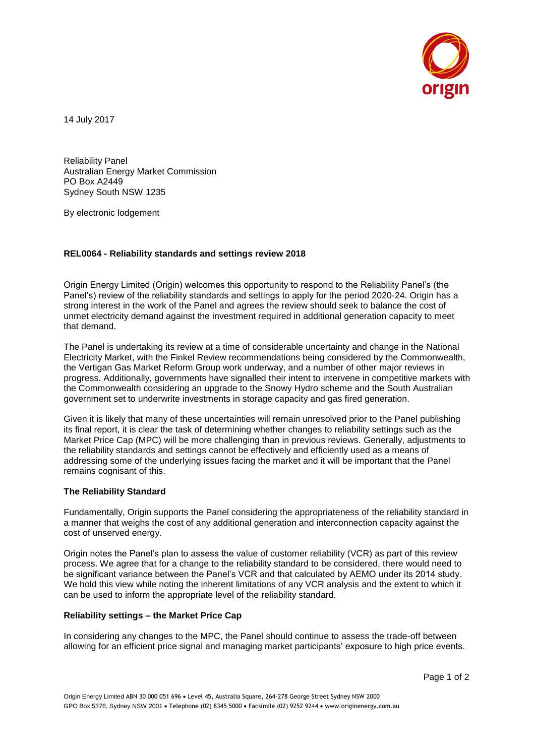

14 July 2017

Reliability Panel Australian Energy Market Commission PO Box A2449 Sydney South NSW 1235

By electronic lodgement

# **REL0064 - Reliability standards and settings review 2018**

Origin Energy Limited (Origin) welcomes this opportunity to respond to the Reliability Panel's (the Panel's) review of the reliability standards and settings to apply for the period 2020-24. Origin has a strong interest in the work of the Panel and agrees the review should seek to balance the cost of unmet electricity demand against the investment required in additional generation capacity to meet that demand.

The Panel is undertaking its review at a time of considerable uncertainty and change in the National Electricity Market, with the Finkel Review recommendations being considered by the Commonwealth, the Vertigan Gas Market Reform Group work underway, and a number of other major reviews in progress. Additionally, governments have signalled their intent to intervene in competitive markets with the Commonwealth considering an upgrade to the Snowy Hydro scheme and the South Australian government set to underwrite investments in storage capacity and gas fired generation.

Given it is likely that many of these uncertainties will remain unresolved prior to the Panel publishing its final report, it is clear the task of determining whether changes to reliability settings such as the Market Price Cap (MPC) will be more challenging than in previous reviews. Generally, adjustments to the reliability standards and settings cannot be effectively and efficiently used as a means of addressing some of the underlying issues facing the market and it will be important that the Panel remains cognisant of this.

## **The Reliability Standard**

Fundamentally, Origin supports the Panel considering the appropriateness of the reliability standard in a manner that weighs the cost of any additional generation and interconnection capacity against the cost of unserved energy.

Origin notes the Panel's plan to assess the value of customer reliability (VCR) as part of this review process. We agree that for a change to the reliability standard to be considered, there would need to be significant variance between the Panel's VCR and that calculated by AEMO under its 2014 study. We hold this view while noting the inherent limitations of any VCR analysis and the extent to which it can be used to inform the appropriate level of the reliability standard.

## **Reliability settings – the Market Price Cap**

In considering any changes to the MPC, the Panel should continue to assess the trade-off between allowing for an efficient price signal and managing market participants' exposure to high price events.